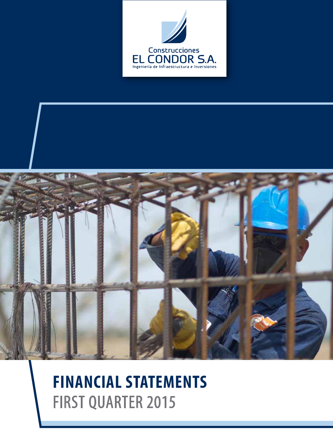



# **FINANCIAL STATEMENTS** FIRST QUARTER 2015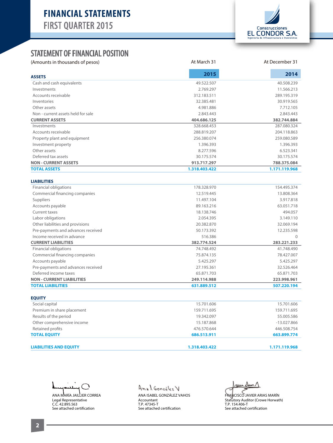

### STATEMENT OF FINANCIAL POSITION

**ASSETS** Cash and cash equivalents Investments Accounts receivable Inventories Other assets Non - current assets held for sale **CURRENT ASSETS Investments**  Accounts receivable Property plant and equipment Investment property Other assets Deferred tax assets **NON - CURRENT ASSETS TOTAL ASSETS** 40.508.239 11.566.213 289.195.319 30.919.565 7.712.105 2.843.443  **382.744.884** 287.080.324 204.118.863 259.080.589 1.396.393 6.523.341 30.175.574  **788.375.084 1.171.119.968** 49.522.507 2.769.297 312.183.511 32.385.481 4.981.886 2.843.443  **404.686.125** 328.668.453 288.819.207 256.380.074 1.396.393 8.277.596 30.175.574  **913.717.297 1.318.403.422 2015 2014** (Amounts in thousands of pesos) and at March 31 At March 31 At December 31 At December 31

#### **LIABILITIES**

| <b>TOTAL LIABILITIES</b>           | 631.889.512 | 507.220.194 |
|------------------------------------|-------------|-------------|
| <b>NON - CURRENT LIABILITIES</b>   | 249.114.988 | 223.998.961 |
| Deferred income taxes              | 65.871.703  | 65.871.703  |
| Pre-payments and advances received | 27.195.361  | 32.526.464  |
| Accounts payable                   | 5.425.297   | 5.425.297   |
| Commercial financing companies     | 75.874.135  | 78.427.007  |
| <b>Financial obligations</b>       | 74.748.492  | 41.748.490  |
| <b>CURRENT LIABILITIES</b>         | 382.774.524 | 283.221.233 |
| Income received in advance         | 516.386     | $\Omega$    |
| Pre-payments and advances received | 50.173.392  | 12.235.598  |
| Other liabilities and provisions   | 20.382.870  | 32.069.194  |
| Labor obligations                  | 2.054.395   | 3.149.110   |
| Current taxes                      | 18.138.746  | 494.057     |
| Accounts payable                   | 89.163.216  | 63.051.718  |
| Suppliers                          | 11.497.104  | 3.917.818   |
| Commercial financing companies     | 12.519.445  | 13.808.364  |
| <b>Financial obligations</b>       | 178.328.970 | 154.495.374 |

| <b>EQUITY</b>                 |               |               |
|-------------------------------|---------------|---------------|
| Social capital                | 15.701.606    | 15.701.606    |
| Premium in share placement    | 159.711.695   | 159.711.695   |
| Results of the period         | 19.342.097    | 55.005.586    |
| Other comprehensive income    | 15.187.868    | $-13.027.866$ |
| Retained profits              | 476.570.644   | 446.508.754   |
| <b>TOTAL EQUITY</b>           | 686.513.911   | 663.899.774   |
| <b>LIABILITIES AND EQUITY</b> | 1.318.403.422 | 1.171.119.968 |

℩ ANA MARÍA JAILLIER CORREA Legal Representative C.C. 42.895.563

See attached certification

Anal Gonzobez V ANA ISABEL GONZÁLEZ VAHOS Accountant T.P. 47345-T See attached certification

 $\omega$ we Dun  $\Lambda$ 

FRANCISCO JAVIER ARIAS MARÍN Statutory Auditor (Crowe Horwath) T.P. 154.406-T See attached certification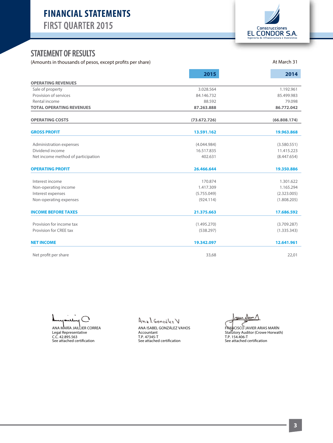

At March 31

## STATEMENT OF RESULTS

(Amounts in thousands of pesos, except profits per share)

|                                    | 2015         | 2014         |
|------------------------------------|--------------|--------------|
| <b>OPERATING REVENUES</b>          |              |              |
| Sale of property                   | 3.028.564    | 1.192.961    |
| Provision of services              | 84.146.732   | 85.499.983   |
| Rental income                      | 88.592       | 79.098       |
| <b>TOTAL OPERATING REVENUES</b>    | 87.263.888   | 86.772.042   |
| <b>OPERATING COSTS</b>             | (73.672.726) | (66.808.174) |
| <b>GROSS PROFIT</b>                | 13.591.162   | 19.963.868   |
| Administration expenses            | (4.044.984)  | (3.580.551)  |
| Dividend income                    | 16.517.835   | 11.415.223   |
| Net income method of participation | 402.631      | (8.447.654)  |
| <b>OPERATING PROFIT</b>            | 26.466.644   | 19.350.886   |
| Interest income                    | 170.874      | 1.301.622    |
| Non-operating income               | 1.417.309    | 1.165.294    |
| Interest expenses                  | (5.755.049)  | (2.323.005)  |
| Non-operating expenses             | (924.114)    | (1.808.205)  |
| <b>INCOME BEFORE TAXES</b>         | 21.375.663   | 17.686.592   |
| Provision for income tax           | (1.495.270)  | (3.709.287)  |
| Provision for CREE tax             | (538.297)    | (1.335.343)  |
| <b>NET INCOME</b>                  | 19.342.097   | 12.641.961   |
| Net profit per share               | 33,68        | 22,01        |

ANA MARÍA JAILLIER CORREA Legal Representative C.C. 42.895.563 See attached certication

Anal González V ANA ISABEL GONZÁLEZ VAHOS Accountant T.P. 47345-T<br>See attached certification

au Dun 1

FRANCISCO JAVIER ARIAS MARÍN Statutory Auditor (Crowe Horwath) T.P. 154.406-T<br>See attached certification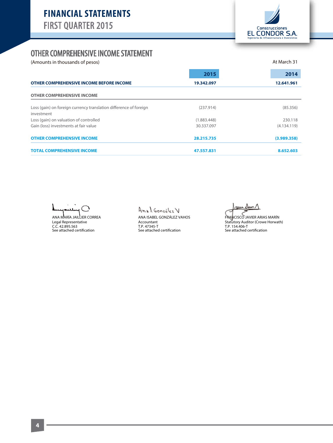

## OTHER COMPREHENSIVE INCOME STATEMENT

(Amounts in thousands of pesos) and the set of person of person and the set of person and the March 31

|                                                                                 | 2015        | 2014        |
|---------------------------------------------------------------------------------|-------------|-------------|
| OTHER COMPREHENSIVE INCOME BEFORE INCOME                                        | 19.342.097  | 12.641.961  |
| <b>OTHER COMPREHENSIVE INCOME</b>                                               |             |             |
| Loss (gain) on foreign currency translation difference of foreign<br>investment | (237.914)   | (85.356)    |
| Loss (gain) on valuation of controlled                                          | (1.883.448) | 230.118     |
| Gain (loss) investments at fair value                                           | 30.337.097  | (4.134.119) |
| <b>OTHER COMPREHENSIVE INCOME</b>                                               | 28.215.735  | (3.989.358) |
| <b>TOTAL COMPREHENSIVE INCOME</b>                                               | 47.557.831  | 8.652.603   |

 $\bigcap$  $\mathbf{A}$ 

ANA MARÍA JAILLIER CORREA Legal Representative<br>C.C. 42.895.563<br>See attached certification

Anal González V ANA ISABEL GONZÁLEZ VAHOS Accountant T.P. 47345-T<br>See attached certification

ruu

FRANCISCO JAVIER ARIAS MARÍN Statutory Auditor (Crowe Horwath)<br>T.P. 154.406-T<br>See attached certification